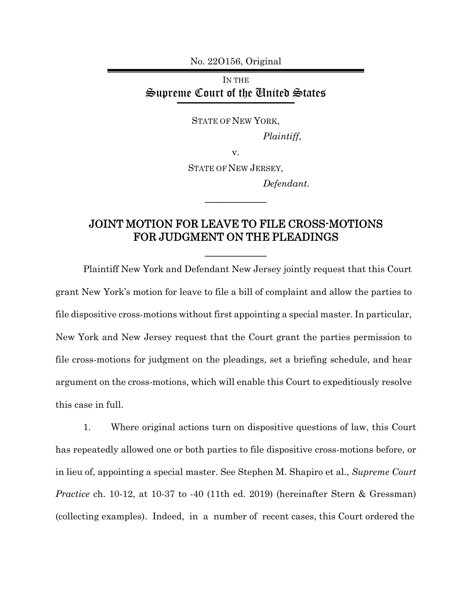No. 22O156, Original

## IN THE Supreme Court of the United States

STATE OF NEW YORK,

*Plaintiff*,

v.

STATE OF NEW JERSEY,

 $\overline{\phantom{a}}$ 

*Defendant*.

## JOINT MOTION FOR LEAVE TO FILE CROSS-MOTIONS FOR JUDGMENT ON THE PLEADINGS

 $\frac{1}{2}$ 

Plaintiff New York and Defendant New Jersey jointly request that this Court grant New York's motion for leave to file a bill of complaint and allow the parties to file dispositive cross-motions without first appointing a special master. In particular, New York and New Jersey request that the Court grant the parties permission to file cross-motions for judgment on the pleadings, set a briefing schedule, and hear argument on the cross-motions, which will enable this Court to expeditiously resolve this case in full.

1. Where original actions turn on dispositive questions of law, this Court has repeatedly allowed one or both parties to file dispositive cross-motions before, or in lieu of, appointing a special master. See Stephen M. Shapiro et al., *Supreme Court Practice* ch. 10-12, at 10-37 to -40 (11th ed. 2019) (hereinafter Stern & Gressman) (collecting examples). Indeed, in a number of recent cases, this Court ordered the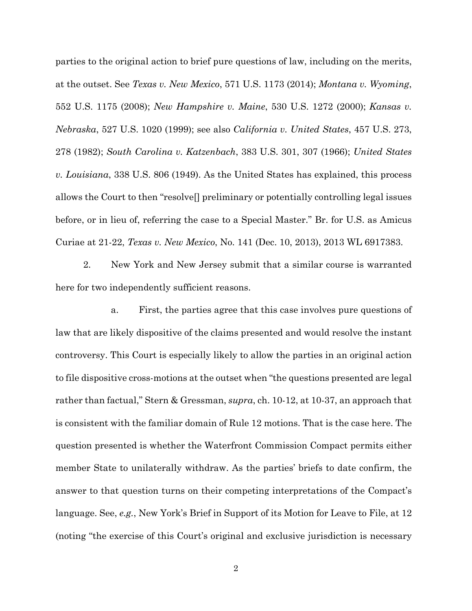parties to the original action to brief pure questions of law, including on the merits, at the outset. See *Texas v. New Mexico*, 571 U.S. 1173 (2014); *Montana v. Wyoming*, 552 U.S. 1175 (2008); *New Hampshire v. Maine*, 530 U.S. 1272 (2000); *Kansas v. Nebraska*, 527 U.S. 1020 (1999); see also *California v. United States*, 457 U.S. 273, 278 (1982); *South Carolina v. Katzenbach*, 383 U.S. 301, 307 (1966); *United States v. Louisiana*, 338 U.S. 806 (1949). As the United States has explained, this process allows the Court to then "resolve[] preliminary or potentially controlling legal issues before, or in lieu of, referring the case to a Special Master." Br. for U.S. as Amicus Curiae at 21-22, *Texas v. New Mexico*, No. 141 (Dec. 10, 2013), 2013 WL 6917383.

2. New York and New Jersey submit that a similar course is warranted here for two independently sufficient reasons.

 a. First, the parties agree that this case involves pure questions of law that are likely dispositive of the claims presented and would resolve the instant controversy. This Court is especially likely to allow the parties in an original action to file dispositive cross-motions at the outset when "the questions presented are legal rather than factual," Stern & Gressman, *supra*, ch. 10-12, at 10-37, an approach that is consistent with the familiar domain of Rule 12 motions. That is the case here. The question presented is whether the Waterfront Commission Compact permits either member State to unilaterally withdraw. As the parties' briefs to date confirm, the answer to that question turns on their competing interpretations of the Compact's language. See, *e.g.*, New York's Brief in Support of its Motion for Leave to File, at 12 (noting "the exercise of this Court's original and exclusive jurisdiction is necessary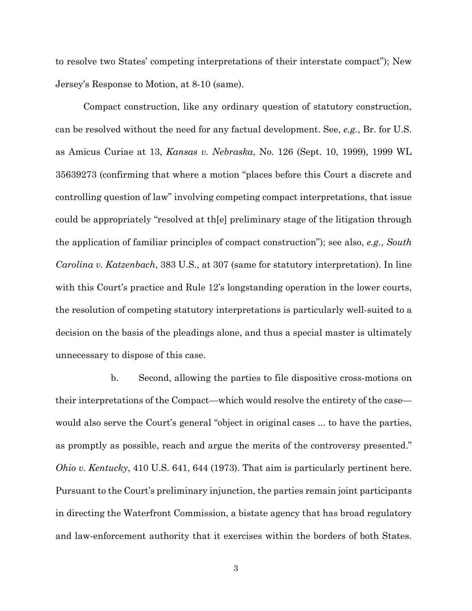to resolve two States' competing interpretations of their interstate compact"); New Jersey's Response to Motion, at 8-10 (same).

Compact construction, like any ordinary question of statutory construction, can be resolved without the need for any factual development. See, *e.g.*, Br. for U.S. as Amicus Curiae at 13, *Kansas v. Nebraska*, No. 126 (Sept. 10, 1999), 1999 WL 35639273 (confirming that where a motion "places before this Court a discrete and controlling question of law" involving competing compact interpretations, that issue could be appropriately "resolved at th[e] preliminary stage of the litigation through the application of familiar principles of compact construction"); see also, *e.g.*, *South Carolina v. Katzenbach*, 383 U.S., at 307 (same for statutory interpretation). In line with this Court's practice and Rule 12's longstanding operation in the lower courts, the resolution of competing statutory interpretations is particularly well-suited to a decision on the basis of the pleadings alone, and thus a special master is ultimately unnecessary to dispose of this case.

 b. Second, allowing the parties to file dispositive cross-motions on their interpretations of the Compact—which would resolve the entirety of the case would also serve the Court's general "object in original cases ... to have the parties, as promptly as possible, reach and argue the merits of the controversy presented." *Ohio v. Kentucky*, 410 U.S. 641, 644 (1973). That aim is particularly pertinent here. Pursuant to the Court's preliminary injunction, the parties remain joint participants in directing the Waterfront Commission, a bistate agency that has broad regulatory and law-enforcement authority that it exercises within the borders of both States.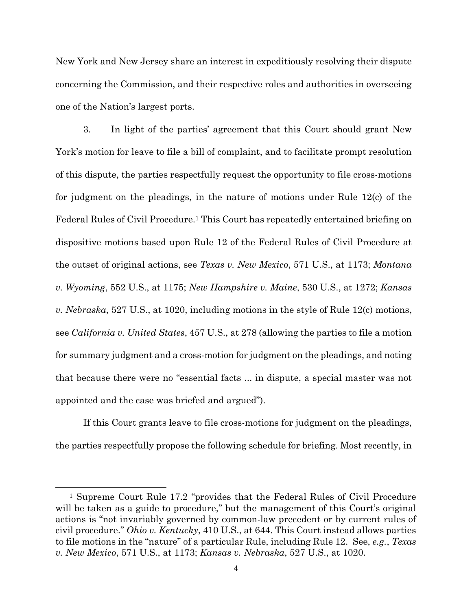New York and New Jersey share an interest in expeditiously resolving their dispute concerning the Commission, and their respective roles and authorities in overseeing one of the Nation's largest ports.

3. In light of the parties' agreement that this Court should grant New York's motion for leave to file a bill of complaint, and to facilitate prompt resolution of this dispute, the parties respectfully request the opportunity to file cross-motions for judgment on the pleadings, in the nature of motions under Rule 12(c) of the Federal Rules of Civil Procedure.1 This Court has repeatedly entertained briefing on dispositive motions based upon Rule 12 of the Federal Rules of Civil Procedure at the outset of original actions, see *Texas v. New Mexico*, 571 U.S., at 1173; *Montana v. Wyoming*, 552 U.S., at 1175; *New Hampshire v. Maine*, 530 U.S., at 1272; *Kansas v. Nebraska*, 527 U.S., at 1020, including motions in the style of Rule 12(c) motions, see *California v. United States*, 457 U.S., at 278 (allowing the parties to file a motion for summary judgment and a cross-motion for judgment on the pleadings, and noting that because there were no "essential facts ... in dispute, a special master was not appointed and the case was briefed and argued").

If this Court grants leave to file cross-motions for judgment on the pleadings, the parties respectfully propose the following schedule for briefing. Most recently, in

<sup>1</sup> Supreme Court Rule 17.2 "provides that the Federal Rules of Civil Procedure will be taken as a guide to procedure," but the management of this Court's original actions is "not invariably governed by common-law precedent or by current rules of civil procedure." *Ohio v. Kentucky*, 410 U.S., at 644. This Court instead allows parties to file motions in the "nature" of a particular Rule, including Rule 12. See, *e.g.*, *Texas v. New Mexico*, 571 U.S., at 1173; *Kansas v. Nebraska*, 527 U.S., at 1020.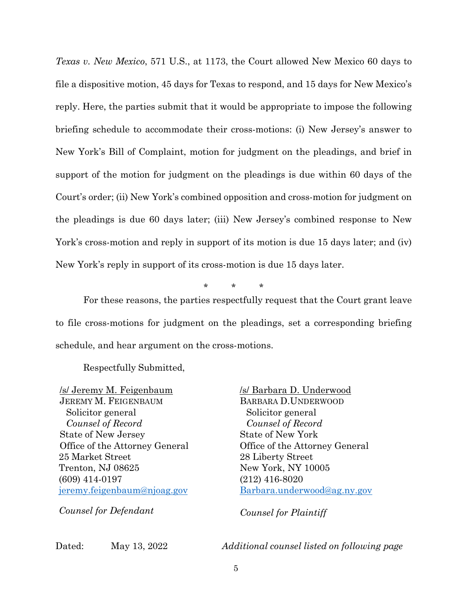*Texas v. New Mexico*, 571 U.S., at 1173, the Court allowed New Mexico 60 days to file a dispositive motion, 45 days for Texas to respond, and 15 days for New Mexico's reply. Here, the parties submit that it would be appropriate to impose the following briefing schedule to accommodate their cross-motions: (i) New Jersey's answer to New York's Bill of Complaint, motion for judgment on the pleadings, and brief in support of the motion for judgment on the pleadings is due within 60 days of the Court's order; (ii) New York's combined opposition and cross-motion for judgment on the pleadings is due 60 days later; (iii) New Jersey's combined response to New York's cross-motion and reply in support of its motion is due 15 days later; and (iv) New York's reply in support of its cross-motion is due 15 days later.

\* \* \*

For these reasons, the parties respectfully request that the Court grant leave to file cross-motions for judgment on the pleadings, set a corresponding briefing schedule, and hear argument on the cross-motions.

Respectfully Submitted,

/s/ Jeremy M. Feigenbaum JEREMY M. FEIGENBAUM Solicitor general *Counsel of Record*  State of New Jersey Office of the Attorney General 25 Market Street Trenton, NJ 08625 (609) 414-0197 jeremy.feigenbaum@njoag.gov

BARBARA D.UNDERWOOD Solicitor general *Counsel of Record*  State of New York Office of the Attorney General 28 Liberty Street New York, NY 10005 (212) 416-8020 Barbara.underwood@ag.ny.gov

/s/ Barbara D. Underwood

*Counsel for Defendant*

*Counsel for Plaintiff* 

Dated: May 13, 2022 *Additional counsel listed on following page*